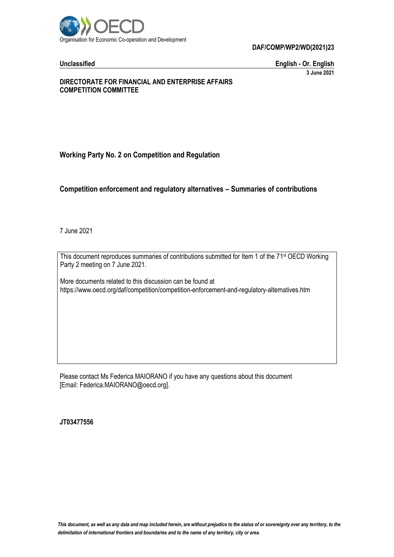

**DAF/COMP/WP2/WD(2021)23**

**Unclassified English - Or. English 3 June 2021**

#### **DIRECTORATE FOR FINANCIAL AND ENTERPRISE AFFAIRS COMPETITION COMMITTEE**

#### **Working Party No. 2 on Competition and Regulation**

#### **Competition enforcement and regulatory alternatives – Summaries of contributions**

7 June 2021

This document reproduces summaries of contributions submitted for Item 1 of the 71<sup>st</sup> OECD Working Party 2 meeting on 7 June 2021.

More documents related to this discussion can be found at https://www.oecd.org/daf/competition/competition-enforcement-and-regulatory-alternatives.htm

Please contact Ms Federica MAIORANO if you have any questions about this document [Email: Federica.MAIORANO@oecd.org].

**JT03477556**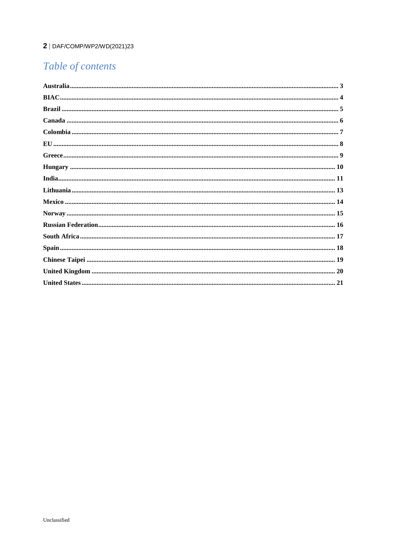#### 2 | DAF/COMP/WP2/WD(2021)23

# Table of contents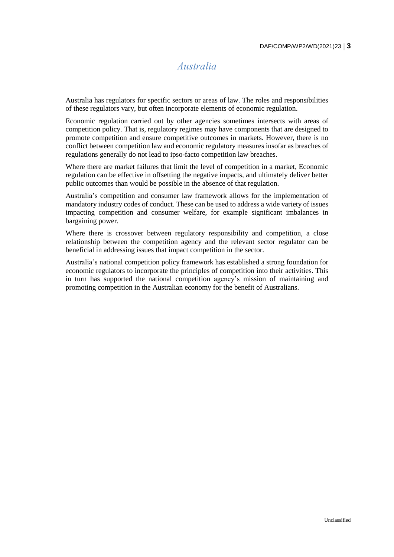## *Australia*

<span id="page-2-0"></span>Australia has regulators for specific sectors or areas of law. The roles and responsibilities of these regulators vary, but often incorporate elements of economic regulation.

Economic regulation carried out by other agencies sometimes intersects with areas of competition policy. That is, regulatory regimes may have components that are designed to promote competition and ensure competitive outcomes in markets. However, there is no conflict between competition law and economic regulatory measures insofar as breaches of regulations generally do not lead to ipso-facto competition law breaches.

Where there are market failures that limit the level of competition in a market, Economic regulation can be effective in offsetting the negative impacts, and ultimately deliver better public outcomes than would be possible in the absence of that regulation.

Australia's competition and consumer law framework allows for the implementation of mandatory industry codes of conduct. These can be used to address a wide variety of issues impacting competition and consumer welfare, for example significant imbalances in bargaining power.

Where there is crossover between regulatory responsibility and competition, a close relationship between the competition agency and the relevant sector regulator can be beneficial in addressing issues that impact competition in the sector.

Australia's national competition policy framework has established a strong foundation for economic regulators to incorporate the principles of competition into their activities. This in turn has supported the national competition agency's mission of maintaining and promoting competition in the Australian economy for the benefit of Australians.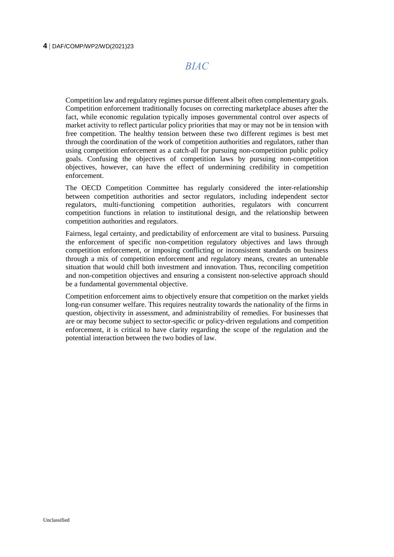*BIAC*

<span id="page-3-0"></span>Competition law and regulatory regimes pursue different albeit often complementary goals. Competition enforcement traditionally focuses on correcting marketplace abuses after the fact, while economic regulation typically imposes governmental control over aspects of market activity to reflect particular policy priorities that may or may not be in tension with free competition. The healthy tension between these two different regimes is best met through the coordination of the work of competition authorities and regulators, rather than using competition enforcement as a catch-all for pursuing non-competition public policy goals. Confusing the objectives of competition laws by pursuing non-competition objectives, however, can have the effect of undermining credibility in competition enforcement.

The OECD Competition Committee has regularly considered the inter-relationship between competition authorities and sector regulators, including independent sector regulators, multi-functioning competition authorities, regulators with concurrent competition functions in relation to institutional design, and the relationship between competition authorities and regulators.

Fairness, legal certainty, and predictability of enforcement are vital to business. Pursuing the enforcement of specific non-competition regulatory objectives and laws through competition enforcement, or imposing conflicting or inconsistent standards on business through a mix of competition enforcement and regulatory means, creates an untenable situation that would chill both investment and innovation. Thus, reconciling competition and non-competition objectives and ensuring a consistent non-selective approach should be a fundamental governmental objective.

Competition enforcement aims to objectively ensure that competition on the market yields long-run consumer welfare. This requires neutrality towards the nationality of the firms in question, objectivity in assessment, and administrability of remedies. For businesses that are or may become subject to sector-specific or policy-driven regulations and competition enforcement, it is critical to have clarity regarding the scope of the regulation and the potential interaction between the two bodies of law.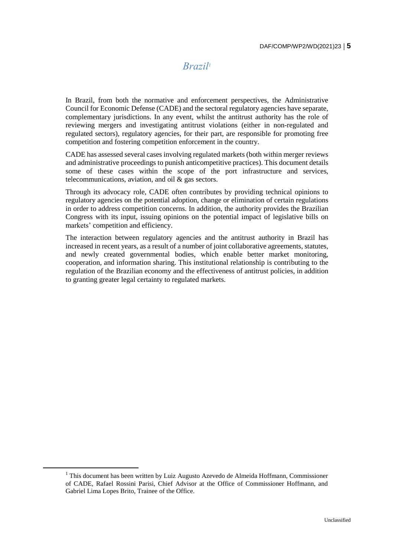#### *Brazil<sup>1</sup>*

<span id="page-4-0"></span>In Brazil, from both the normative and enforcement perspectives, the Administrative Council for Economic Defense (CADE) and the sectoral regulatory agencies have separate, complementary jurisdictions. In any event, whilst the antitrust authority has the role of reviewing mergers and investigating antitrust violations (either in non-regulated and regulated sectors), regulatory agencies, for their part, are responsible for promoting free competition and fostering competition enforcement in the country.

CADE has assessed several cases involving regulated markets (both within merger reviews and administrative proceedings to punish anticompetitive practices). This document details some of these cases within the scope of the port infrastructure and services, telecommunications, aviation, and oil & gas sectors.

Through its advocacy role, CADE often contributes by providing technical opinions to regulatory agencies on the potential adoption, change or elimination of certain regulations in order to address competition concerns. In addition, the authority provides the Brazilian Congress with its input, issuing opinions on the potential impact of legislative bills on markets' competition and efficiency.

The interaction between regulatory agencies and the antitrust authority in Brazil has increased in recent years, as a result of a number of joint collaborative agreements, statutes, and newly created governmental bodies, which enable better market monitoring, cooperation, and information sharing. This institutional relationship is contributing to the regulation of the Brazilian economy and the effectiveness of antitrust policies, in addition to granting greater legal certainty to regulated markets.

 $\overline{a}$ 

 $<sup>1</sup>$  This document has been written by Luiz Augusto Azevedo de Almeida Hoffmann, Commissioner</sup> of CADE, Rafael Rossini Parisi, Chief Advisor at the Office of Commissioner Hoffmann, and Gabriel Lima Lopes Brito, Trainee of the Office.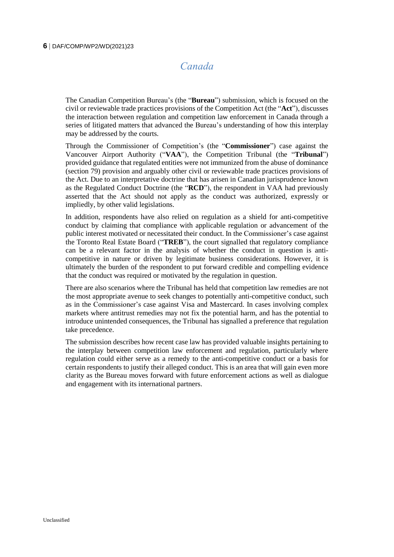## *Canada*

<span id="page-5-0"></span>The Canadian Competition Bureau's (the "**Bureau**") submission, which is focused on the civil or reviewable trade practices provisions of the Competition Act (the "**Act**"), discusses the interaction between regulation and competition law enforcement in Canada through a series of litigated matters that advanced the Bureau's understanding of how this interplay may be addressed by the courts.

Through the Commissioner of Competition's (the "**Commissioner**") case against the Vancouver Airport Authority ("**VAA**"), the Competition Tribunal (the "**Tribunal**") provided guidance that regulated entities were not immunized from the abuse of dominance (section 79) provision and arguably other civil or reviewable trade practices provisions of the Act. Due to an interpretative doctrine that has arisen in Canadian jurisprudence known as the Regulated Conduct Doctrine (the "**RCD**"), the respondent in VAA had previously asserted that the Act should not apply as the conduct was authorized, expressly or impliedly, by other valid legislations.

In addition, respondents have also relied on regulation as a shield for anti-competitive conduct by claiming that compliance with applicable regulation or advancement of the public interest motivated or necessitated their conduct. In the Commissioner's case against the Toronto Real Estate Board ("**TREB**"), the court signalled that regulatory compliance can be a relevant factor in the analysis of whether the conduct in question is anticompetitive in nature or driven by legitimate business considerations. However, it is ultimately the burden of the respondent to put forward credible and compelling evidence that the conduct was required or motivated by the regulation in question.

There are also scenarios where the Tribunal has held that competition law remedies are not the most appropriate avenue to seek changes to potentially anti-competitive conduct, such as in the Commissioner's case against Visa and Mastercard. In cases involving complex markets where antitrust remedies may not fix the potential harm, and has the potential to introduce unintended consequences, the Tribunal has signalled a preference that regulation take precedence.

The submission describes how recent case law has provided valuable insights pertaining to the interplay between competition law enforcement and regulation, particularly where regulation could either serve as a remedy to the anti-competitive conduct or a basis for certain respondents to justify their alleged conduct. This is an area that will gain even more clarity as the Bureau moves forward with future enforcement actions as well as dialogue and engagement with its international partners.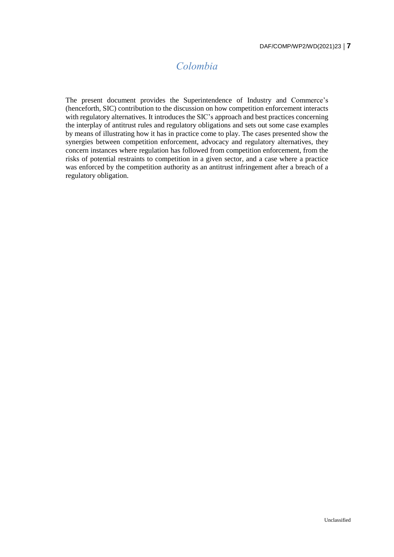# *Colombia*

<span id="page-6-0"></span>The present document provides the Superintendence of Industry and Commerce's (henceforth, SIC) contribution to the discussion on how competition enforcement interacts with regulatory alternatives. It introduces the SIC's approach and best practices concerning the interplay of antitrust rules and regulatory obligations and sets out some case examples by means of illustrating how it has in practice come to play. The cases presented show the synergies between competition enforcement, advocacy and regulatory alternatives, they concern instances where regulation has followed from competition enforcement, from the risks of potential restraints to competition in a given sector, and a case where a practice was enforced by the competition authority as an antitrust infringement after a breach of a regulatory obligation.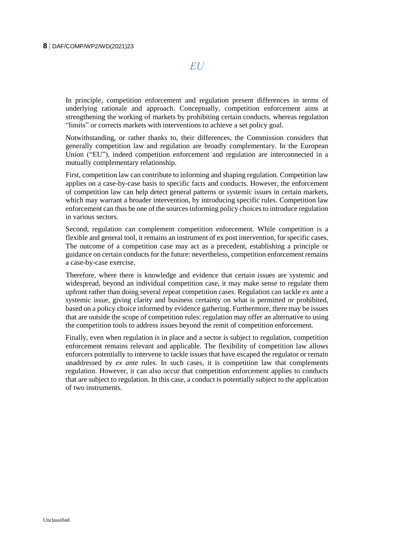*EU*

<span id="page-7-0"></span>In principle, competition enforcement and regulation present differences in terms of underlying rationale and approach. Conceptually, competition enforcement aims at strengthening the working of markets by prohibiting certain conducts, whereas regulation "limits" or corrects markets with interventions to achieve a set policy goal.

Notwithstanding, or rather thanks to, their differences, the Commission considers that generally competition law and regulation are broadly complementary. In the European Union ("EU"), indeed competition enforcement and regulation are interconnected in a mutually complementary relationship.

First, competition law can contribute to informing and shaping regulation. Competition law applies on a case-by-case basis to specific facts and conducts. However, the enforcement of competition law can help detect general patterns or systemic issues in certain markets, which may warrant a broader intervention, by introducing specific rules. Competition law enforcement can thus be one of the sourcesinforming policy choicesto introduce regulation in various sectors.

Second, regulation can complement competition enforcement. While competition is a flexible and general tool, it remains an instrument of ex post intervention, for specific cases. The outcome of a competition case may act as a precedent, establishing a principle or guidance on certain conducts for the future: nevertheless, competition enforcement remains a case-by-case exercise.

Therefore, where there is knowledge and evidence that certain issues are systemic and widespread, beyond an individual competition case, it may make sense to regulate them upfront rather than doing several repeat competition cases. Regulation can tackle ex ante a systemic issue, giving clarity and business certainty on what is permitted or prohibited, based on a policy choice informed by evidence gathering. Furthermore, there may be issues that are outside the scope of competition rules: regulation may offer an alternative to using the competition tools to address issues beyond the remit of competition enforcement.

Finally, even when regulation is in place and a sector is subject to regulation, competition enforcement remains relevant and applicable. The flexibility of competition law allows enforcers potentially to intervene to tackle issues that have escaped the regulator or remain unaddressed by *ex ante* rules. In such cases, it is competition law that complements regulation. However, it can also occur that competition enforcement applies to conducts that are subject to regulation. In this case, a conduct is potentially subject to the application of two instruments.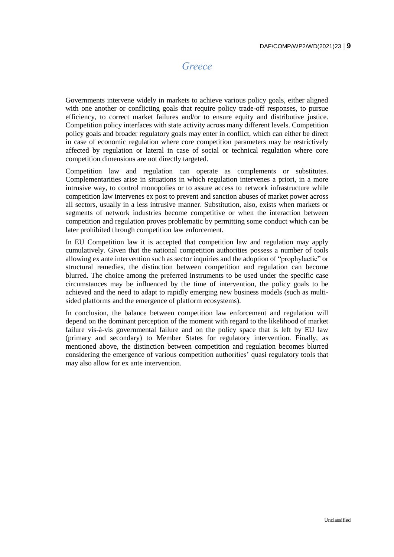#### *Greece*

<span id="page-8-0"></span>Governments intervene widely in markets to achieve various policy goals, either aligned with one another or conflicting goals that require policy trade-off responses, to pursue efficiency, to correct market failures and/or to ensure equity and distributive justice. Competition policy interfaces with state activity across many different levels. Competition policy goals and broader regulatory goals may enter in conflict, which can either be direct in case of economic regulation where core competition parameters may be restrictively affected by regulation or lateral in case of social or technical regulation where core competition dimensions are not directly targeted.

Competition law and regulation can operate as complements or substitutes. Complementarities arise in situations in which regulation intervenes a priori, in a more intrusive way, to control monopolies or to assure access to network infrastructure while competition law intervenes ex post to prevent and sanction abuses of market power across all sectors, usually in a less intrusive manner. Substitution, also, exists when markets or segments of network industries become competitive or when the interaction between competition and regulation proves problematic by permitting some conduct which can be later prohibited through competition law enforcement.

In EU Competition law it is accepted that competition law and regulation may apply cumulatively. Given that the national competition authorities possess a number of tools allowing ex ante intervention such as sector inquiries and the adoption of "prophylactic" or structural remedies, the distinction between competition and regulation can become blurred. The choice among the preferred instruments to be used under the specific case circumstances may be influenced by the time of intervention, the policy goals to be achieved and the need to adapt to rapidly emerging new business models (such as multisided platforms and the emergence of platform ecosystems).

In conclusion, the balance between competition law enforcement and regulation will depend on the dominant perception of the moment with regard to the likelihood of market failure vis-à-vis governmental failure and on the policy space that is left by EU law (primary and secondary) to Member States for regulatory intervention. Finally, as mentioned above, the distinction between competition and regulation becomes blurred considering the emergence of various competition authorities' quasi regulatory tools that may also allow for ex ante intervention.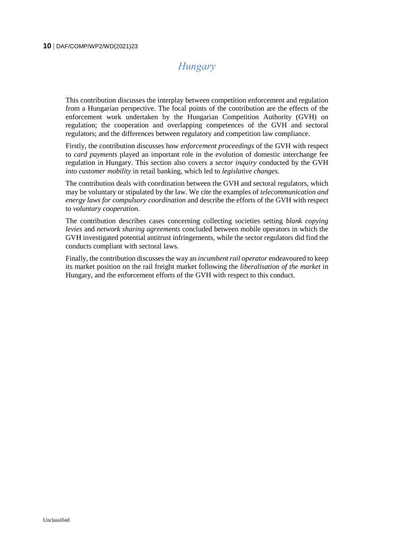# *Hungary*

<span id="page-9-0"></span>This contribution discusses the interplay between competition enforcement and regulation from a Hungarian perspective. The focal points of the contribution are the effects of the enforcement work undertaken by the Hungarian Competition Authority (GVH) on regulation; the cooperation and overlapping competences of the GVH and sectoral regulators; and the differences between regulatory and competition law compliance.

Firstly, the contribution discusses how *enforcement proceedings* of the GVH with respect to *card payments* played an important role in the evolution of domestic interchange fee regulation in Hungary. This section also covers a *sector inquiry* conducted by the GVH *into customer mobility* in retail banking, which led to *legislative changes*.

The contribution deals with coordination between the GVH and sectoral regulators, which may be voluntary or stipulated by the law. We cite the examples of *telecommunication and energy laws for compulsory coordination* and describe the efforts of the GVH with respect to *voluntary cooperation*.

The contribution describes cases concerning collecting societies setting *blank copying levies* and *network sharing agreements* concluded between mobile operators in which the GVH investigated potential antitrust infringements, while the sector regulators did find the conducts compliant with sectoral laws.

Finally, the contribution discusses the way an *incumbent rail operator* endeavoured to keep its market position on the rail freight market following the *liberalisation of the market* in Hungary, and the enforcement efforts of the GVH with respect to this conduct.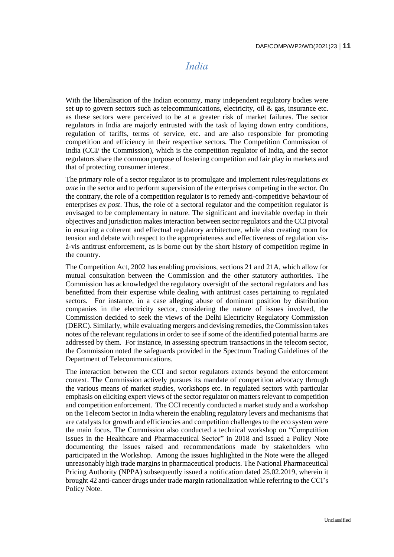#### *India*

<span id="page-10-0"></span>With the liberalisation of the Indian economy, many independent regulatory bodies were set up to govern sectors such as telecommunications, electricity, oil  $\&$  gas, insurance etc. as these sectors were perceived to be at a greater risk of market failures. The sector regulators in India are majorly entrusted with the task of laying down entry conditions, regulation of tariffs, terms of service, etc. and are also responsible for promoting competition and efficiency in their respective sectors. The Competition Commission of India (CCI/ the Commission), which is the competition regulator of India, and the sector regulators share the common purpose of fostering competition and fair play in markets and that of protecting consumer interest.

The primary role of a sector regulator is to promulgate and implement rules/regulations *ex ante* in the sector and to perform supervision of the enterprises competing in the sector. On the contrary, the role of a competition regulator is to remedy anti-competitive behaviour of enterprises *ex post*. Thus, the role of a sectoral regulator and the competition regulator is envisaged to be complementary in nature. The significant and inevitable overlap in their objectives and jurisdiction makes interaction between sector regulators and the CCI pivotal in ensuring a coherent and effectual regulatory architecture, while also creating room for tension and debate with respect to the appropriateness and effectiveness of regulation visà-vis antitrust enforcement, as is borne out by the short history of competition regime in the country.

The Competition Act, 2002 has enabling provisions, sections 21 and 21A, which allow for mutual consultation between the Commission and the other statutory authorities. The Commission has acknowledged the regulatory oversight of the sectoral regulators and has benefitted from their expertise while dealing with antitrust cases pertaining to regulated sectors. For instance, in a case alleging abuse of dominant position by distribution companies in the electricity sector, considering the nature of issues involved, the Commission decided to seek the views of the Delhi Electricity Regulatory Commission (DERC). Similarly, while evaluating mergers and devising remedies, the Commission takes notes of the relevant regulations in order to see if some of the identified potential harms are addressed by them. For instance, in assessing spectrum transactions in the telecom sector, the Commission noted the safeguards provided in the Spectrum Trading Guidelines of the Department of Telecommunications.

The interaction between the CCI and sector regulators extends beyond the enforcement context. The Commission actively pursues its mandate of competition advocacy through the various means of market studies, workshops etc. in regulated sectors with particular emphasis on eliciting expert views of the sector regulator on matters relevant to competition and competition enforcement. The CCI recently conducted a market study and a workshop on the Telecom Sector in India wherein the enabling regulatory levers and mechanisms that are catalysts for growth and efficiencies and competition challenges to the eco system were the main focus. The Commission also conducted a technical workshop on "Competition Issues in the Healthcare and Pharmaceutical Sector" in 2018 and issued a Policy Note documenting the issues raised and recommendations made by stakeholders who participated in the Workshop. Among the issues highlighted in the Note were the alleged unreasonably high trade margins in pharmaceutical products. The National Pharmaceutical Pricing Authority (NPPA) subsequently issued a notification dated 25.02.2019, wherein it brought 42 anti-cancer drugs under trade margin rationalization while referring to the CCI's Policy Note.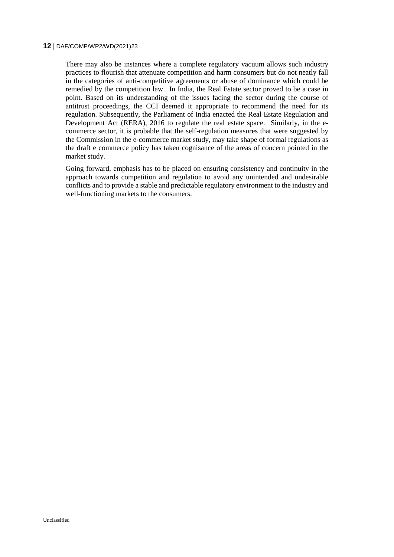#### **12** DAF/COMP/WP2/WD(2021)23

There may also be instances where a complete regulatory vacuum allows such industry practices to flourish that attenuate competition and harm consumers but do not neatly fall in the categories of anti-competitive agreements or abuse of dominance which could be remedied by the competition law. In India, the Real Estate sector proved to be a case in point. Based on its understanding of the issues facing the sector during the course of antitrust proceedings, the CCI deemed it appropriate to recommend the need for its regulation. Subsequently, the Parliament of India enacted the Real Estate Regulation and Development Act (RERA), 2016 to regulate the real estate space. Similarly, in the ecommerce sector, it is probable that the self-regulation measures that were suggested by the Commission in the e-commerce market study, may take shape of formal regulations as the draft e commerce policy has taken cognisance of the areas of concern pointed in the market study.

Going forward, emphasis has to be placed on ensuring consistency and continuity in the approach towards competition and regulation to avoid any unintended and undesirable conflicts and to provide a stable and predictable regulatory environment to the industry and well-functioning markets to the consumers.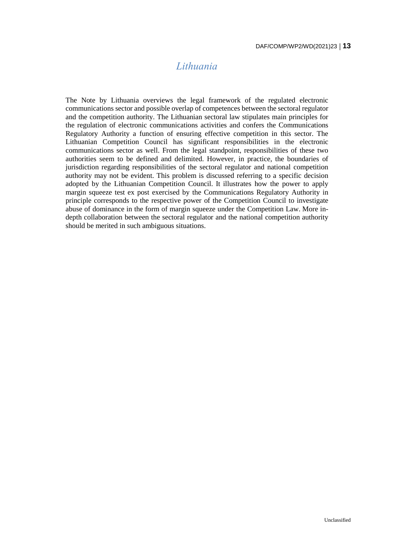## *Lithuania*

<span id="page-12-0"></span>The Note by Lithuania overviews the legal framework of the regulated electronic communications sector and possible overlap of competences between the sectoral regulator and the competition authority. The Lithuanian sectoral law stipulates main principles for the regulation of electronic communications activities and confers the Communications Regulatory Authority a function of ensuring effective competition in this sector. The Lithuanian Competition Council has significant responsibilities in the electronic communications sector as well. From the legal standpoint, responsibilities of these two authorities seem to be defined and delimited. However, in practice, the boundaries of jurisdiction regarding responsibilities of the sectoral regulator and national competition authority may not be evident. This problem is discussed referring to a specific decision adopted by the Lithuanian Competition Council. It illustrates how the power to apply margin squeeze test ex post exercised by the Communications Regulatory Authority in principle corresponds to the respective power of the Competition Council to investigate abuse of dominance in the form of margin squeeze under the Competition Law. More indepth collaboration between the sectoral regulator and the national competition authority should be merited in such ambiguous situations.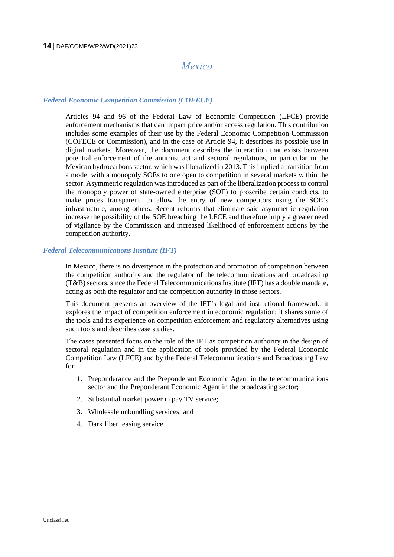#### <span id="page-13-0"></span>**14** DAF/COMP/WP2/WD(2021)23

#### *Mexico*

#### *Federal Economic Competition Commission (COFECE)*

Articles 94 and 96 of the Federal Law of Economic Competition (LFCE) provide enforcement mechanisms that can impact price and/or access regulation. This contribution includes some examples of their use by the Federal Economic Competition Commission (COFECE or Commission), and in the case of Article 94, it describes its possible use in digital markets. Moreover, the document describes the interaction that exists between potential enforcement of the antitrust act and sectoral regulations, in particular in the Mexican hydrocarbons sector, which was liberalized in 2013. This implied a transition from a model with a monopoly SOEs to one open to competition in several markets within the sector. Asymmetric regulation was introduced as part of the liberalization process to control the monopoly power of state-owned enterprise (SOE) to proscribe certain conducts, to make prices transparent, to allow the entry of new competitors using the SOE's infrastructure, among others. Recent reforms that eliminate said asymmetric regulation increase the possibility of the SOE breaching the LFCE and therefore imply a greater need of vigilance by the Commission and increased likelihood of enforcement actions by the competition authority.

#### *Federal Telecommunications Institute (IFT)*

In Mexico, there is no divergence in the protection and promotion of competition between the competition authority and the regulator of the telecommunications and broadcasting (T&B)sectors, since the Federal Telecommunications Institute (IFT) has a double mandate, acting as both the regulator and the competition authority in those sectors.

This document presents an overview of the IFT's legal and institutional framework; it explores the impact of competition enforcement in economic regulation; it shares some of the tools and its experience on competition enforcement and regulatory alternatives using such tools and describes case studies.

The cases presented focus on the role of the IFT as competition authority in the design of sectoral regulation and in the application of tools provided by the Federal Economic Competition Law (LFCE) and by the Federal Telecommunications and Broadcasting Law for:

- 1. Preponderance and the Preponderant Economic Agent in the telecommunications sector and the Preponderant Economic Agent in the broadcasting sector;
- 2. Substantial market power in pay TV service;
- 3. Wholesale unbundling services; and
- 4. Dark fiber leasing service.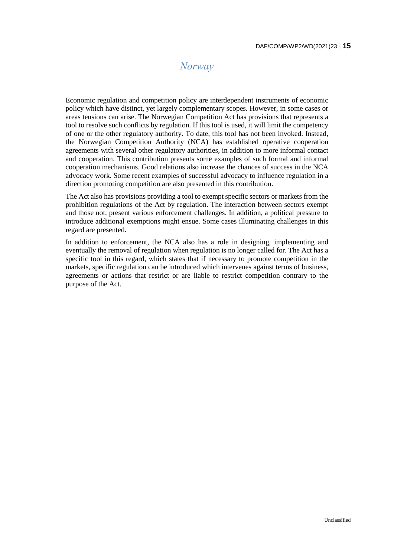## *Norway*

<span id="page-14-0"></span>Economic regulation and competition policy are interdependent instruments of economic policy which have distinct, yet largely complementary scopes. However, in some cases or areas tensions can arise. The Norwegian Competition Act has provisions that represents a tool to resolve such conflicts by regulation. If this tool is used, it will limit the competency of one or the other regulatory authority. To date, this tool has not been invoked. Instead, the Norwegian Competition Authority (NCA) has established operative cooperation agreements with several other regulatory authorities, in addition to more informal contact and cooperation. This contribution presents some examples of such formal and informal cooperation mechanisms. Good relations also increase the chances of success in the NCA advocacy work. Some recent examples of successful advocacy to influence regulation in a direction promoting competition are also presented in this contribution.

The Act also has provisions providing a tool to exempt specific sectors or markets from the prohibition regulations of the Act by regulation. The interaction between sectors exempt and those not, present various enforcement challenges. In addition, a political pressure to introduce additional exemptions might ensue. Some cases illuminating challenges in this regard are presented.

In addition to enforcement, the NCA also has a role in designing, implementing and eventually the removal of regulation when regulation is no longer called for. The Act has a specific tool in this regard, which states that if necessary to promote competition in the markets, specific regulation can be introduced which intervenes against terms of business, agreements or actions that restrict or are liable to restrict competition contrary to the purpose of the Act.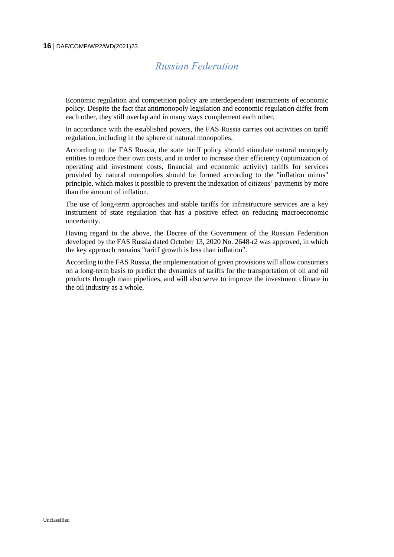## *Russian Federation*

<span id="page-15-0"></span>Economic regulation and competition policy are interdependent instruments of economic policy. Despite the fact that antimonopoly legislation and economic regulation differ from each other, they still overlap and in many ways complement each other.

In accordance with the established powers, the FAS Russia carries out activities on tariff regulation, including in the sphere of natural monopolies.

According to the FAS Russia, the state tariff policy should stimulate natural monopoly entities to reduce their own costs, and in order to increase their efficiency (optimization of operating and investment costs, financial and economic activity) tariffs for services provided by natural monopolies should be formed according to the "inflation minus" principle, which makes it possible to prevent the indexation of citizens' payments by more than the amount of inflation.

The use of long-term approaches and stable tariffs for infrastructure services are a key instrument of state regulation that has a positive effect on reducing macroeconomic uncertainty.

Having regard to the above, the Decree of the Government of the Russian Federation developed by the FAS Russia dated October 13, 2020 No. 2648-r2 was approved, in which the key approach remains "tariff growth is less than inflation".

According to the FAS Russia, the implementation of given provisions will allow consumers on a long-term basis to predict the dynamics of tariffs for the transportation of oil and oil products through main pipelines, and will also serve to improve the investment climate in the oil industry as a whole.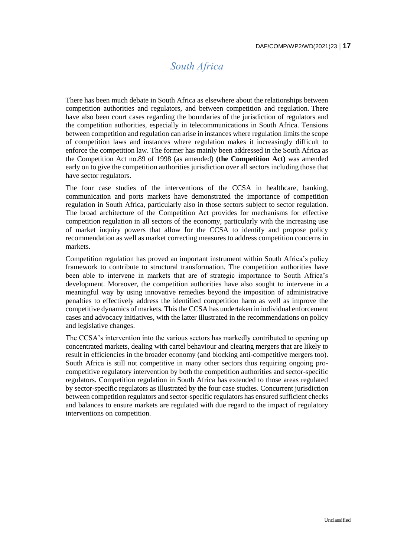## *South Africa*

<span id="page-16-0"></span>There has been much debate in South Africa as elsewhere about the relationships between competition authorities and regulators, and between competition and regulation. There have also been court cases regarding the boundaries of the jurisdiction of regulators and the competition authorities, especially in telecommunications in South Africa. Tensions between competition and regulation can arise in instances where regulation limits the scope of competition laws and instances where regulation makes it increasingly difficult to enforce the competition law. The former has mainly been addressed in the South Africa as the Competition Act no.89 of 1998 (as amended) **(the Competition Act)** was amended early on to give the competition authorities jurisdiction over all sectors including those that have sector regulators.

The four case studies of the interventions of the CCSA in healthcare, banking, communication and ports markets have demonstrated the importance of competition regulation in South Africa, particularly also in those sectors subject to sector regulation. The broad architecture of the Competition Act provides for mechanisms for effective competition regulation in all sectors of the economy, particularly with the increasing use of market inquiry powers that allow for the CCSA to identify and propose policy recommendation as well as market correcting measures to address competition concerns in markets.

Competition regulation has proved an important instrument within South Africa's policy framework to contribute to structural transformation. The competition authorities have been able to intervene in markets that are of strategic importance to South Africa's development. Moreover, the competition authorities have also sought to intervene in a meaningful way by using innovative remedies beyond the imposition of administrative penalties to effectively address the identified competition harm as well as improve the competitive dynamics of markets. This the CCSA has undertaken in individual enforcement cases and advocacy initiatives, with the latter illustrated in the recommendations on policy and legislative changes.

The CCSA's intervention into the various sectors has markedly contributed to opening up concentrated markets, dealing with cartel behaviour and clearing mergers that are likely to result in efficiencies in the broader economy (and blocking anti-competitive mergers too). South Africa is still not competitive in many other sectors thus requiring ongoing procompetitive regulatory intervention by both the competition authorities and sector-specific regulators. Competition regulation in South Africa has extended to those areas regulated by sector-specific regulators as illustrated by the four case studies. Concurrent jurisdiction between competition regulators and sector-specific regulators has ensured sufficient checks and balances to ensure markets are regulated with due regard to the impact of regulatory interventions on competition.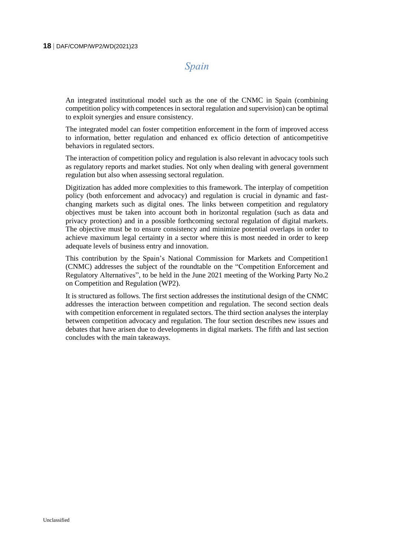#### *Spain*

<span id="page-17-0"></span>An integrated institutional model such as the one of the CNMC in Spain (combining competition policy with competences in sectoral regulation and supervision) can be optimal to exploit synergies and ensure consistency.

The integrated model can foster competition enforcement in the form of improved access to information, better regulation and enhanced ex officio detection of anticompetitive behaviors in regulated sectors.

The interaction of competition policy and regulation is also relevant in advocacy tools such as regulatory reports and market studies. Not only when dealing with general government regulation but also when assessing sectoral regulation.

Digitization has added more complexities to this framework. The interplay of competition policy (both enforcement and advocacy) and regulation is crucial in dynamic and fastchanging markets such as digital ones. The links between competition and regulatory objectives must be taken into account both in horizontal regulation (such as data and privacy protection) and in a possible forthcoming sectoral regulation of digital markets. The objective must be to ensure consistency and minimize potential overlaps in order to achieve maximum legal certainty in a sector where this is most needed in order to keep adequate levels of business entry and innovation.

This contribution by the Spain's National Commission for Markets and Competition1 (CNMC) addresses the subject of the roundtable on the "Competition Enforcement and Regulatory Alternatives", to be held in the June 2021 meeting of the Working Party No.2 on Competition and Regulation (WP2).

It is structured as follows. The first section addresses the institutional design of the CNMC addresses the interaction between competition and regulation. The second section deals with competition enforcement in regulated sectors. The third section analyses the interplay between competition advocacy and regulation. The four section describes new issues and debates that have arisen due to developments in digital markets. The fifth and last section concludes with the main takeaways.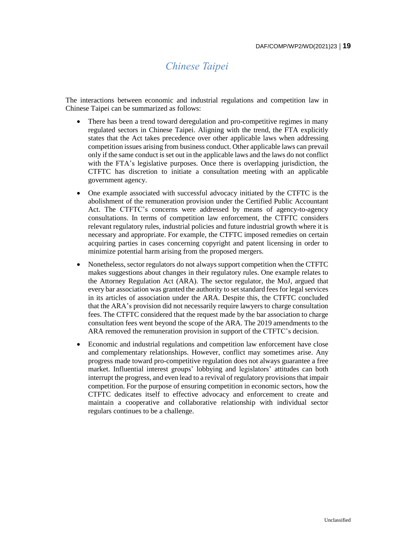## *Chinese Taipei*

<span id="page-18-0"></span>The interactions between economic and industrial regulations and competition law in Chinese Taipei can be summarized as follows:

- There has been a trend toward deregulation and pro-competitive regimes in many regulated sectors in Chinese Taipei. Aligning with the trend, the FTA explicitly states that the Act takes precedence over other applicable laws when addressing competition issues arising from business conduct. Other applicable laws can prevail only if the same conduct is set out in the applicable laws and the laws do not conflict with the FTA's legislative purposes. Once there is overlapping jurisdiction, the CTFTC has discretion to initiate a consultation meeting with an applicable government agency.
- One example associated with successful advocacy initiated by the CTFTC is the abolishment of the remuneration provision under the Certified Public Accountant Act. The CTFTC's concerns were addressed by means of agency-to-agency consultations. In terms of competition law enforcement, the CTFTC considers relevant regulatory rules, industrial policies and future industrial growth where it is necessary and appropriate. For example, the CTFTC imposed remedies on certain acquiring parties in cases concerning copyright and patent licensing in order to minimize potential harm arising from the proposed mergers.
- Nonetheless, sector regulators do not always support competition when the CTFTC makes suggestions about changes in their regulatory rules. One example relates to the Attorney Regulation Act (ARA). The sector regulator, the MoJ, argued that every bar association was granted the authority to set standard fees for legal services in its articles of association under the ARA. Despite this, the CTFTC concluded that the ARA's provision did not necessarily require lawyers to charge consultation fees. The CTFTC considered that the request made by the bar association to charge consultation fees went beyond the scope of the ARA. The 2019 amendments to the ARA removed the remuneration provision in support of the CTFTC's decision.
- Economic and industrial regulations and competition law enforcement have close and complementary relationships. However, conflict may sometimes arise. Any progress made toward pro-competitive regulation does not always guarantee a free market. Influential interest groups' lobbying and legislators' attitudes can both interrupt the progress, and even lead to a revival of regulatory provisionsthat impair competition. For the purpose of ensuring competition in economic sectors, how the CTFTC dedicates itself to effective advocacy and enforcement to create and maintain a cooperative and collaborative relationship with individual sector regulars continues to be a challenge.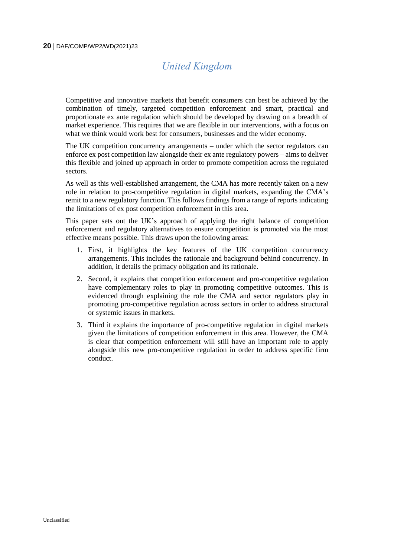# *United Kingdom*

<span id="page-19-0"></span>Competitive and innovative markets that benefit consumers can best be achieved by the combination of timely, targeted competition enforcement and smart, practical and proportionate ex ante regulation which should be developed by drawing on a breadth of market experience. This requires that we are flexible in our interventions, with a focus on what we think would work best for consumers, businesses and the wider economy.

The UK competition concurrency arrangements – under which the sector regulators can enforce ex post competition law alongside their ex ante regulatory powers – aims to deliver this flexible and joined up approach in order to promote competition across the regulated sectors.

As well as this well-established arrangement, the CMA has more recently taken on a new role in relation to pro-competitive regulation in digital markets, expanding the CMA's remit to a new regulatory function. This follows findings from a range of reports indicating the limitations of ex post competition enforcement in this area.

This paper sets out the UK's approach of applying the right balance of competition enforcement and regulatory alternatives to ensure competition is promoted via the most effective means possible. This draws upon the following areas:

- 1. First, it highlights the key features of the UK competition concurrency arrangements. This includes the rationale and background behind concurrency. In addition, it details the primacy obligation and its rationale.
- 2. Second, it explains that competition enforcement and pro-competitive regulation have complementary roles to play in promoting competitive outcomes. This is evidenced through explaining the role the CMA and sector regulators play in promoting pro-competitive regulation across sectors in order to address structural or systemic issues in markets.
- 3. Third it explains the importance of pro-competitive regulation in digital markets given the limitations of competition enforcement in this area. However, the CMA is clear that competition enforcement will still have an important role to apply alongside this new pro-competitive regulation in order to address specific firm conduct.